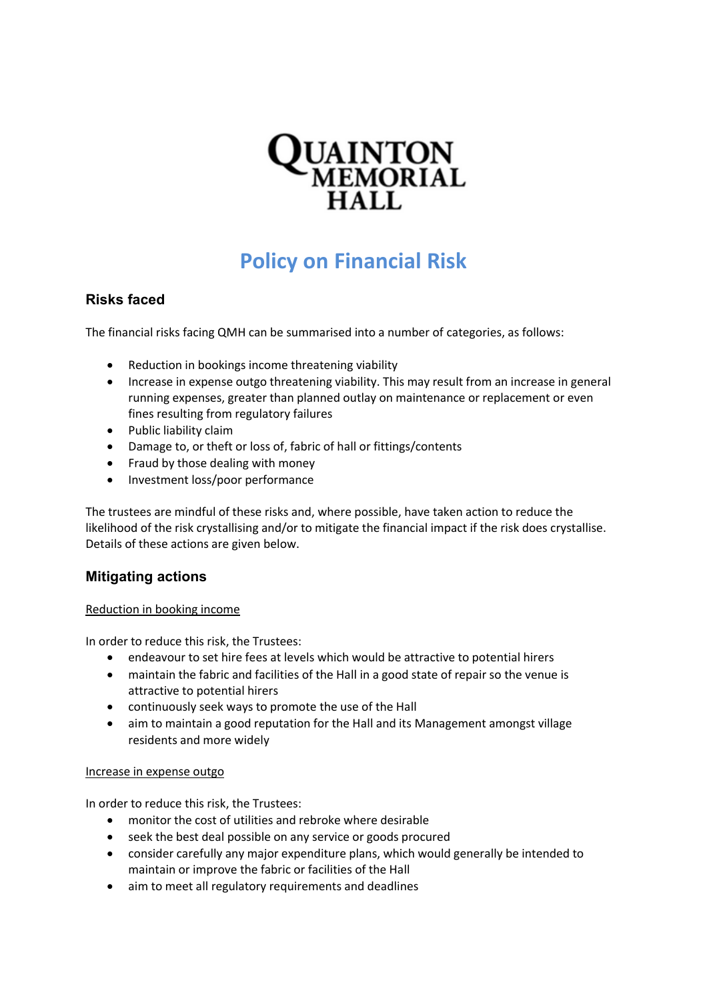

# **Policy on Financial Risk**

## **Risks faced**

The financial risks facing QMH can be summarised into a number of categories, as follows:

- Reduction in bookings income threatening viability
- Increase in expense outgo threatening viability. This may result from an increase in general running expenses, greater than planned outlay on maintenance or replacement or even fines resulting from regulatory failures
- Public liability claim
- Damage to, or theft or loss of, fabric of hall or fittings/contents
- Fraud by those dealing with money
- Investment loss/poor performance

The trustees are mindful of these risks and, where possible, have taken action to reduce the likelihood of the risk crystallising and/or to mitigate the financial impact if the risk does crystallise. Details of these actions are given below.

### **Mitigating actions**

#### Reduction in booking income

In order to reduce this risk, the Trustees:

- endeavour to set hire fees at levels which would be attractive to potential hirers
- maintain the fabric and facilities of the Hall in a good state of repair so the venue is attractive to potential hirers
- continuously seek ways to promote the use of the Hall
- aim to maintain a good reputation for the Hall and its Management amongst village residents and more widely

#### Increase in expense outgo

In order to reduce this risk, the Trustees:

- monitor the cost of utilities and rebroke where desirable
- seek the best deal possible on any service or goods procured
- consider carefully any major expenditure plans, which would generally be intended to maintain or improve the fabric or facilities of the Hall
- aim to meet all regulatory requirements and deadlines